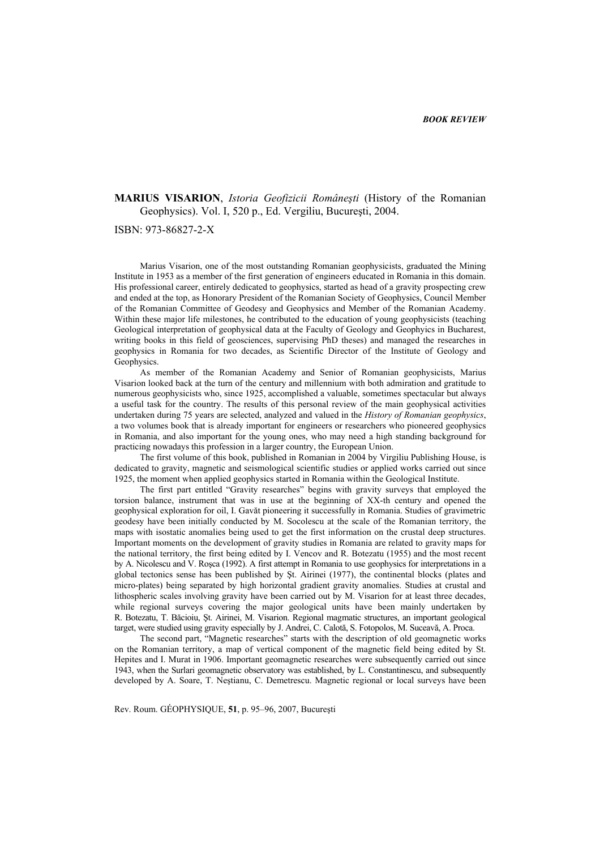## **MARIUS VISARION**, *Istoria Geofizicii Româneşti* (History of the Romanian Geophysics). Vol. I, 520 p., Ed. Vergiliu, Bucureşti, 2004.

ISBN: 973-86827-2-X

Marius Visarion, one of the most outstanding Romanian geophysicists, graduated the Mining Institute in 1953 as a member of the first generation of engineers educated in Romania in this domain. His professional career, entirely dedicated to geophysics, started as head of a gravity prospecting crew and ended at the top, as Honorary President of the Romanian Society of Geophysics, Council Member of the Romanian Committee of Geodesy and Geophysics and Member of the Romanian Academy. Within these major life milestones, he contributed to the education of young geophysicists (teaching Geological interpretation of geophysical data at the Faculty of Geology and Geophyics in Bucharest, writing books in this field of geosciences, supervising PhD theses) and managed the researches in geophysics in Romania for two decades, as Scientific Director of the Institute of Geology and Geophysics.

As member of the Romanian Academy and Senior of Romanian geophysicists, Marius Visarion looked back at the turn of the century and millennium with both admiration and gratitude to numerous geophysicists who, since 1925, accomplished a valuable, sometimes spectacular but always a useful task for the country. The results of this personal review of the main geophysical activities undertaken during 75 years are selected, analyzed and valued in the *History of Romanian geophysics*, a two volumes book that is already important for engineers or researchers who pioneered geophysics in Romania, and also important for the young ones, who may need a high standing background for practicing nowadays this profession in a larger country, the European Union.

The first volume of this book, published in Romanian in 2004 by Virgiliu Publishing House, is dedicated to gravity, magnetic and seismological scientific studies or applied works carried out since 1925, the moment when applied geophysics started in Romania within the Geological Institute.

The first part entitled "Gravity researches" begins with gravity surveys that employed the torsion balance, instrument that was in use at the beginning of XX-th century and opened the geophysical exploration for oil, I. Gavăt pioneering it successfully in Romania. Studies of gravimetric geodesy have been initially conducted by M. Socolescu at the scale of the Romanian territory, the maps with isostatic anomalies being used to get the first information on the crustal deep structures. Important moments on the development of gravity studies in Romania are related to gravity maps for the national territory, the first being edited by I. Vencov and R. Botezatu (1955) and the most recent by A. Nicolescu and V. Roşca (1992). A first attempt in Romania to use geophysics for interpretations in a global tectonics sense has been published by Şt. Airinei (1977), the continental blocks (plates and micro-plates) being separated by high horizontal gradient gravity anomalies. Studies at crustal and lithospheric scales involving gravity have been carried out by M. Visarion for at least three decades, while regional surveys covering the major geological units have been mainly undertaken by R. Botezatu, T. Băcioiu, Şt. Airinei, M. Visarion. Regional magmatic structures, an important geological target, were studied using gravity especially by J. Andrei, C. Calotă, S. Fotopolos, M. Suceavă, A. Proca.

The second part, "Magnetic researches" starts with the description of old geomagnetic works on the Romanian territory, a map of vertical component of the magnetic field being edited by St. Hepites and I. Murat in 1906. Important geomagnetic researches were subsequently carried out since 1943, when the Surlari geomagnetic observatory was established, by L. Constantinescu, and subsequently developed by A. Soare, T. Neştianu, C. Demetrescu. Magnetic regional or local surveys have been

Rev. Roum. GÉOPHYSIQUE, **51**, p. 95–96, 2007, Bucureşti